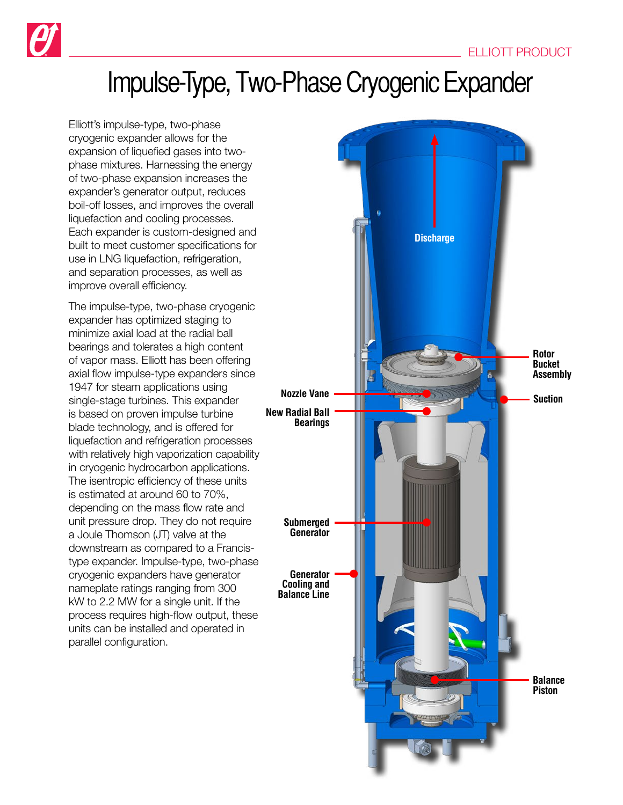

## Impulse-Type, Two-Phase Cryogenic Expander

Elliott's impulse-type, two-phase cryogenic expander allows for the expansion of liquefied gases into twophase mixtures. Harnessing the energy of two-phase expansion increases the expander's generator output, reduces boil-off losses, and improves the overall liquefaction and cooling processes. Each expander is custom-designed and built to meet customer specifications for use in LNG liquefaction, refrigeration, and separation processes, as well as improve overall efficiency.

The impulse-type, two-phase cryogenic expander has optimized staging to minimize axial load at the radial ball bearings and tolerates a high content of vapor mass. Elliott has been offering axial flow impulse-type expanders since 1947 for steam applications using single-stage turbines. This expander is based on proven impulse turbine blade technology, and is offered for liquefaction and refrigeration processes with relatively high vaporization capability in cryogenic hydrocarbon applications. The isentropic efficiency of these units is estimated at around 60 to 70%, depending on the mass flow rate and unit pressure drop. They do not require a Joule Thomson (JT) valve at the downstream as compared to a Francistype expander. Impulse-type, two-phase cryogenic expanders have generator nameplate ratings ranging from 300 kW to 2.2 MW for a single unit. If the process requires high-flow output, these units can be installed and operated in parallel configuration.